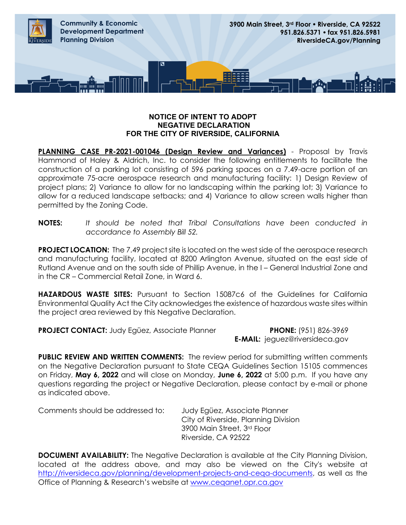

## **NOTICE OF INTENT TO ADOPT NEGATIVE DECLARATION FOR THE CITY OF RIVERSIDE, CALIFORNIA**

**PLANNING CASE PR-2021-001046 (Design Review and Variances)** - Proposal by Travis Hammond of Haley & Aldrich, Inc. to consider the following entitlements to facilitate the construction of a parking lot consisting of 596 parking spaces on a 7.49-acre portion of an approximate 75-acre aerospace research and manufacturing facility: 1) Design Review of project plans; 2) Variance to allow for no landscaping within the parking lot; 3) Variance to allow for a reduced landscape setbacks; and 4) Variance to allow screen walls higher than permitted by the Zoning Code.

## **NOTES:** *It should be noted that Tribal Consultations have been conducted in accordance to Assembly Bill 52.*

**PROJECT LOCATION:** The 7.49 project site is located on the west side of the aerospace research and manufacturing facility, located at 8200 Arlington Avenue, situated on the east side of Rutland Avenue and on the south side of Phillip Avenue, in the I – General Industrial Zone and in the CR – Commercial Retail Zone, in Ward 6.

**HAZARDOUS WASTE SITES:** Pursuant to Section 15087c6 of the Guidelines for California Environmental Quality Act the City acknowledges the existence of hazardous waste sites within the project area reviewed by this Negative Declaration.

**PROJECT CONTACT:** Judy Egüez, Associate Planner **PHONE:** (951) 826-3969

**E-MAIL:** jeguez@riversideca.gov

**PUBLIC REVIEW AND WRITTEN COMMENTS:** The review period for submitting written comments on the Negative Declaration pursuant to State CEQA Guidelines Section 15105 commences on Friday, **May 6, 2022** and will close on Monday, **June 6, 2022** at 5:00 p.m. If you have any questions regarding the project or Negative Declaration, please contact by e-mail or phone as indicated above.

Comments should be addressed to: Judy Egüez, Associate Planner City of Riverside, Planning Division 3900 Main Street, 3rd Floor Riverside, CA 92522

**DOCUMENT AVAILABILITY:** The Negative Declaration is available at the City Planning Division, located at the address above, and may also be viewed on the City's website at http://riversideca.gov/planning/development-projects-and-cega-documents, as well as the Office of Planning & Research's website at [www.ceqanet.opr.ca.gov](http://www.ceqanet.opr.ca.gov/)